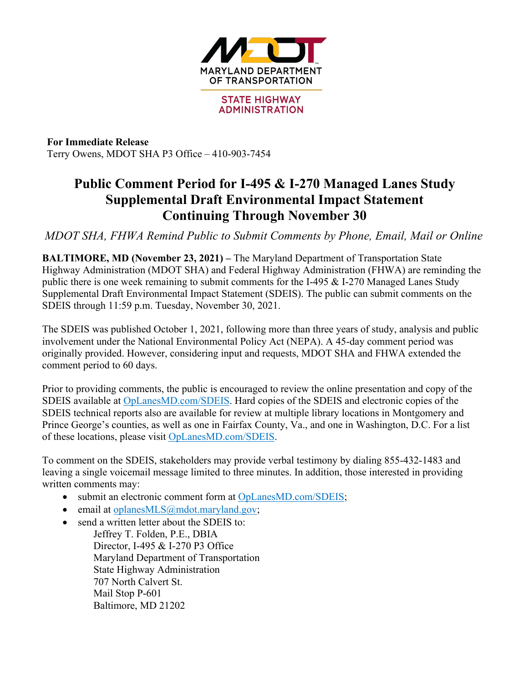

**For Immediate Release** Terry Owens, MDOT SHA P3 Office – 410-903-7454

## **Public Comment Period for I-495 & I-270 Managed Lanes Study Supplemental Draft Environmental Impact Statement Continuing Through November 30**

*MDOT SHA, FHWA Remind Public to Submit Comments by Phone, Email, Mail or Online*

**BALTIMORE, MD (November 23, 2021) –** The Maryland Department of Transportation State Highway Administration (MDOT SHA) and Federal Highway Administration (FHWA) are reminding the public there is one week remaining to submit comments for the I-495  $&$  I-270 Managed Lanes Study Supplemental Draft Environmental Impact Statement (SDEIS). The public can submit comments on the SDEIS through 11:59 p.m. Tuesday, November 30, 2021.

The SDEIS was published October 1, 2021, following more than three years of study, analysis and public involvement under the National Environmental Policy Act (NEPA). A 45-day comment period was originally provided. However, considering input and requests, MDOT SHA and FHWA extended the comment period to 60 days.

Prior to providing comments, the public is encouraged to review the online presentation and copy of the SDEIS available at OpLanesMD.com/SDEIS. Hard copies of the SDEIS and electronic copies of the SDEIS technical reports also are available for review at multiple library locations in Montgomery and Prince George's counties, as well as one in Fairfax County, Va., and one in Washington, D.C. For a list of these locations, please visit OpLanesMD.com/SDEIS.

To comment on the SDEIS, stakeholders may provide verbal testimony by dialing 855-432-1483 and leaving a single voicemail message limited to three minutes. In addition, those interested in providing written comments may:

- submit an electronic comment form at OpLanesMD.com/SDEIS;
- email at oplanesMLS@mdot.maryland.gov;
- send a written letter about the SDEIS to: Jeffrey T. Folden, P.E., DBIA Director, I-495 & I-270 P3 Office Maryland Department of Transportation State Highway Administration 707 North Calvert St. Mail Stop P-601 Baltimore, MD 21202